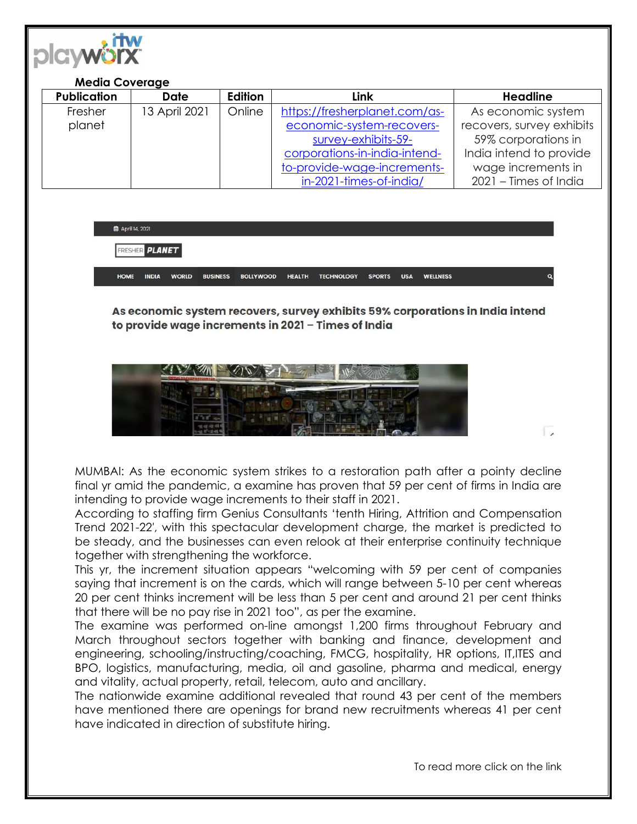

## **Media Coverage**

| <b>Publication</b> | <b>Date</b>   | Edition | Link                          | <b>Headline</b>           |
|--------------------|---------------|---------|-------------------------------|---------------------------|
| Fresher            | 13 April 2021 | Online  | https://fresherplanet.com/as- | As economic system        |
| planet             |               |         | economic-system-recovers-     | recovers, survey exhibits |
|                    |               |         | survey-exhibits-59-           | 59% corporations in       |
|                    |               |         | corporations-in-india-intend- | India intend to provide   |
|                    |               |         | to-provide-wage-increments-   | wage increments in        |
|                    |               |         | in-2021-times-of-india/       | 2021 - Times of India     |

**茴** April 14, 2021

**FRESHER PLANET** 

HOME **INDIA WORLD** BUSINESS BOLLYWOOD HEALTH TECHNOLOGY SPORTS USA WELLNESS

As economic system recovers, survey exhibits 59% corporations in India intend to provide wage increments in 2021 - Times of India



MUMBAI: As the economic system strikes to a restoration path after a pointy decline final yr amid the pandemic, a examine has proven that 59 per cent of firms in India are intending to provide wage increments to their staff in 2021.

According to staffing firm Genius Consultants 'tenth Hiring, Attrition and Compensation Trend 2021-22′, with this spectacular development charge, the market is predicted to be steady, and the businesses can even relook at their enterprise continuity technique together with strengthening the workforce.

This yr, the increment situation appears "welcoming with 59 per cent of companies saying that increment is on the cards, which will range between 5-10 per cent whereas 20 per cent thinks increment will be less than 5 per cent and around 21 per cent thinks that there will be no pay rise in 2021 too", as per the examine.

The examine was performed on-line amongst 1,200 firms throughout February and March throughout sectors together with banking and finance, development and engineering, schooling/instructing/coaching, FMCG, hospitality, HR options, IT,ITES and BPO, logistics, manufacturing, media, oil and gasoline, pharma and medical, energy and vitality, actual property, retail, telecom, auto and ancillary.

The nationwide examine additional revealed that round 43 per cent of the members have mentioned there are openings for brand new recruitments whereas 41 per cent have indicated in direction of substitute hiring.

To read more click on the link

 $\overline{\phantom{a}}$